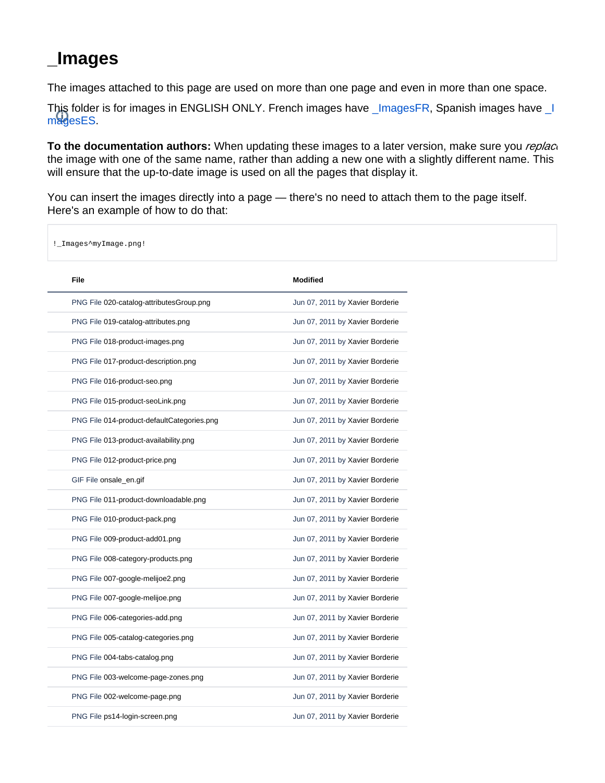## <span id="page-0-0"></span>**\_Images**

The images attached to this page are used on more than one page and even in more than one space.

This folder is for images in ENGLISH ONLY. French images have [\\_ImagesFR](https://doc.prestashop.com/display/PS14/_ImagesFR), Spanish images have [\\_I](https://doc.prestashop.com/display/PS14/_ImagesES) [magesES.](https://doc.prestashop.com/display/PS14/_ImagesES)

**To the documentation authors:** When updating these images to a later version, make sure you *replac* the image with one of the same name, rather than adding a new one with a slightly different name. This will ensure that the up-to-date image is used on all the pages that display it.

You can insert the images directly into a page — there's no need to attach them to the page itself. Here's an example of how to do that:

!\_Images^myImage.png!

| File                                       | <b>Modified</b>                 |
|--------------------------------------------|---------------------------------|
| PNG File 020-catalog-attributesGroup.png   | Jun 07, 2011 by Xavier Borderie |
| PNG File 019-catalog-attributes.png        | Jun 07, 2011 by Xavier Borderie |
| PNG File 018-product-images.png            | Jun 07, 2011 by Xavier Borderie |
| PNG File 017-product-description.png       | Jun 07, 2011 by Xavier Borderie |
| PNG File 016-product-seo.png               | Jun 07, 2011 by Xavier Borderie |
| PNG File 015-product-seoLink.png           | Jun 07, 2011 by Xavier Borderie |
| PNG File 014-product-defaultCategories.png | Jun 07, 2011 by Xavier Borderie |
| PNG File 013-product-availability.png      | Jun 07, 2011 by Xavier Borderie |
| PNG File 012-product-price.png             | Jun 07, 2011 by Xavier Borderie |
| GIF File onsale_en.gif                     | Jun 07, 2011 by Xavier Borderie |
| PNG File 011-product-downloadable.png      | Jun 07, 2011 by Xavier Borderie |
| PNG File 010-product-pack.png              | Jun 07, 2011 by Xavier Borderie |
| PNG File 009-product-add01.png             | Jun 07, 2011 by Xavier Borderie |
| PNG File 008-category-products.png         | Jun 07, 2011 by Xavier Borderie |
| PNG File 007-google-melijoe2.png           | Jun 07, 2011 by Xavier Borderie |
| PNG File 007-google-melijoe.png            | Jun 07, 2011 by Xavier Borderie |
| PNG File 006-categories-add.png            | Jun 07, 2011 by Xavier Borderie |
| PNG File 005-catalog-categories.png        | Jun 07, 2011 by Xavier Borderie |
| PNG File 004-tabs-catalog.png              | Jun 07, 2011 by Xavier Borderie |
| PNG File 003-welcome-page-zones.png        | Jun 07, 2011 by Xavier Borderie |
| PNG File 002-welcome-page.png              | Jun 07, 2011 by Xavier Borderie |
| PNG File ps14-login-screen.png             | Jun 07, 2011 by Xavier Borderie |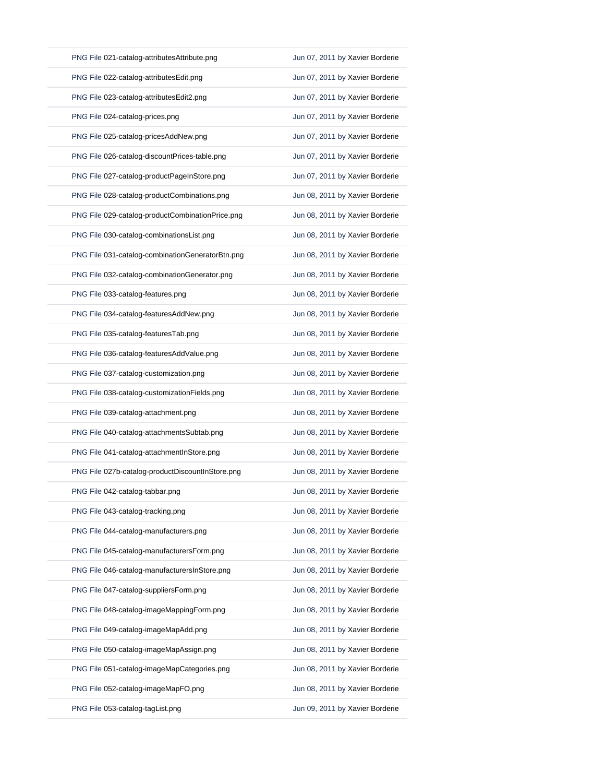| PNG File 021-catalog-attributesAttribute.png     | Jun 07, 2011 by Xavier Borderie |
|--------------------------------------------------|---------------------------------|
| PNG File 022-catalog-attributesEdit.png          | Jun 07, 2011 by Xavier Borderie |
| PNG File 023-catalog-attributesEdit2.png         | Jun 07, 2011 by Xavier Borderie |
| PNG File 024-catalog-prices.png                  | Jun 07, 2011 by Xavier Borderie |
| PNG File 025-catalog-pricesAddNew.png            | Jun 07, 2011 by Xavier Borderie |
| PNG File 026-catalog-discountPrices-table.png    | Jun 07, 2011 by Xavier Borderie |
| PNG File 027-catalog-productPageInStore.png      | Jun 07, 2011 by Xavier Borderie |
| PNG File 028-catalog-productCombinations.png     | Jun 08, 2011 by Xavier Borderie |
| PNG File 029-catalog-productCombinationPrice.png | Jun 08, 2011 by Xavier Borderie |
| PNG File 030-catalog-combinationsList.png        | Jun 08, 2011 by Xavier Borderie |
| PNG File 031-catalog-combinationGeneratorBtn.png | Jun 08, 2011 by Xavier Borderie |
| PNG File 032-catalog-combinationGenerator.png    | Jun 08, 2011 by Xavier Borderie |
| PNG File 033-catalog-features.png                | Jun 08, 2011 by Xavier Borderie |
| PNG File 034-catalog-featuresAddNew.png          | Jun 08, 2011 by Xavier Borderie |
| PNG File 035-catalog-featuresTab.png             | Jun 08, 2011 by Xavier Borderie |
| PNG File 036-catalog-featuresAddValue.png        | Jun 08, 2011 by Xavier Borderie |
| PNG File 037-catalog-customization.png           | Jun 08, 2011 by Xavier Borderie |
| PNG File 038-catalog-customizationFields.png     | Jun 08, 2011 by Xavier Borderie |
| PNG File 039-catalog-attachment.png              | Jun 08, 2011 by Xavier Borderie |
| PNG File 040-catalog-attachmentsSubtab.png       | Jun 08, 2011 by Xavier Borderie |
| PNG File 041-catalog-attachmentInStore.png       | Jun 08, 2011 by Xavier Borderie |
| PNG File 027b-catalog-productDiscountInStore.png | Jun 08, 2011 by Xavier Borderie |
| PNG File 042-catalog-tabbar.png                  | Jun 08, 2011 by Xavier Borderie |
| PNG File 043-catalog-tracking.png                | Jun 08, 2011 by Xavier Borderie |
| PNG File 044-catalog-manufacturers.png           | Jun 08, 2011 by Xavier Borderie |
| PNG File 045-catalog-manufacturersForm.png       | Jun 08, 2011 by Xavier Borderie |
| PNG File 046-catalog-manufacturersInStore.png    | Jun 08, 2011 by Xavier Borderie |
| PNG File 047-catalog-suppliersForm.png           | Jun 08, 2011 by Xavier Borderie |
| PNG File 048-catalog-imageMappingForm.png        | Jun 08, 2011 by Xavier Borderie |
| PNG File 049-catalog-imageMapAdd.png             | Jun 08, 2011 by Xavier Borderie |
| PNG File 050-catalog-imageMapAssign.png          | Jun 08, 2011 by Xavier Borderie |
| PNG File 051-catalog-imageMapCategories.png      | Jun 08, 2011 by Xavier Borderie |
| PNG File 052-catalog-imageMapFO.png              | Jun 08, 2011 by Xavier Borderie |
| PNG File 053-catalog-tagList.png                 | Jun 09, 2011 by Xavier Borderie |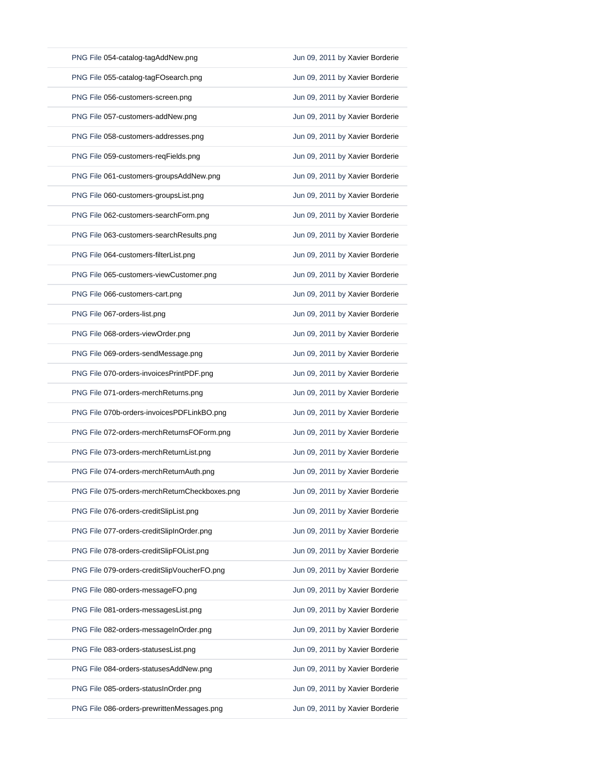| PNG File 054-catalog-tagAddNew.png            | Jun 09, 2011 by Xavier Borderie |
|-----------------------------------------------|---------------------------------|
| PNG File 055-catalog-tagFOsearch.png          | Jun 09, 2011 by Xavier Borderie |
| PNG File 056-customers-screen.png             | Jun 09, 2011 by Xavier Borderie |
| PNG File 057-customers-addNew.png             | Jun 09, 2011 by Xavier Borderie |
| PNG File 058-customers-addresses.png          | Jun 09, 2011 by Xavier Borderie |
| PNG File 059-customers-reqFields.png          | Jun 09, 2011 by Xavier Borderie |
| PNG File 061-customers-groupsAddNew.png       | Jun 09, 2011 by Xavier Borderie |
| PNG File 060-customers-groupsList.png         | Jun 09, 2011 by Xavier Borderie |
| PNG File 062-customers-searchForm.png         | Jun 09, 2011 by Xavier Borderie |
| PNG File 063-customers-searchResults.png      | Jun 09, 2011 by Xavier Borderie |
| PNG File 064-customers-filterList.png         | Jun 09, 2011 by Xavier Borderie |
| PNG File 065-customers-viewCustomer.png       | Jun 09, 2011 by Xavier Borderie |
| PNG File 066-customers-cart.png               | Jun 09, 2011 by Xavier Borderie |
| PNG File 067-orders-list.png                  | Jun 09, 2011 by Xavier Borderie |
| PNG File 068-orders-viewOrder.png             | Jun 09, 2011 by Xavier Borderie |
| PNG File 069-orders-sendMessage.png           | Jun 09, 2011 by Xavier Borderie |
| PNG File 070-orders-invoicesPrintPDF.png      | Jun 09, 2011 by Xavier Borderie |
| PNG File 071-orders-merchReturns.png          | Jun 09, 2011 by Xavier Borderie |
| PNG File 070b-orders-invoicesPDFLinkBO.png    | Jun 09, 2011 by Xavier Borderie |
| PNG File 072-orders-merchReturnsFOForm.png    | Jun 09, 2011 by Xavier Borderie |
| PNG File 073-orders-merchReturnList.png       | Jun 09, 2011 by Xavier Borderie |
| PNG File 074-orders-merchReturnAuth.png       | Jun 09, 2011 by Xavier Borderie |
| PNG File 075-orders-merchReturnCheckboxes.png | Jun 09, 2011 by Xavier Borderie |
| PNG File 076-orders-creditSlipList.png        | Jun 09, 2011 by Xavier Borderie |
| PNG File 077-orders-creditSlipInOrder.png     | Jun 09, 2011 by Xavier Borderie |
| PNG File 078-orders-creditSlipFOList.png      | Jun 09, 2011 by Xavier Borderie |
| PNG File 079-orders-creditSlipVoucherFO.png   | Jun 09, 2011 by Xavier Borderie |
| PNG File 080-orders-messageFO.png             | Jun 09, 2011 by Xavier Borderie |
| PNG File 081-orders-messagesList.png          | Jun 09, 2011 by Xavier Borderie |
| PNG File 082-orders-messageInOrder.png        | Jun 09, 2011 by Xavier Borderie |
| PNG File 083-orders-statusesList.png          | Jun 09, 2011 by Xavier Borderie |
| PNG File 084-orders-statusesAddNew.png        | Jun 09, 2011 by Xavier Borderie |
| PNG File 085-orders-statusInOrder.png         | Jun 09, 2011 by Xavier Borderie |
| PNG File 086-orders-prewrittenMessages.png    | Jun 09, 2011 by Xavier Borderie |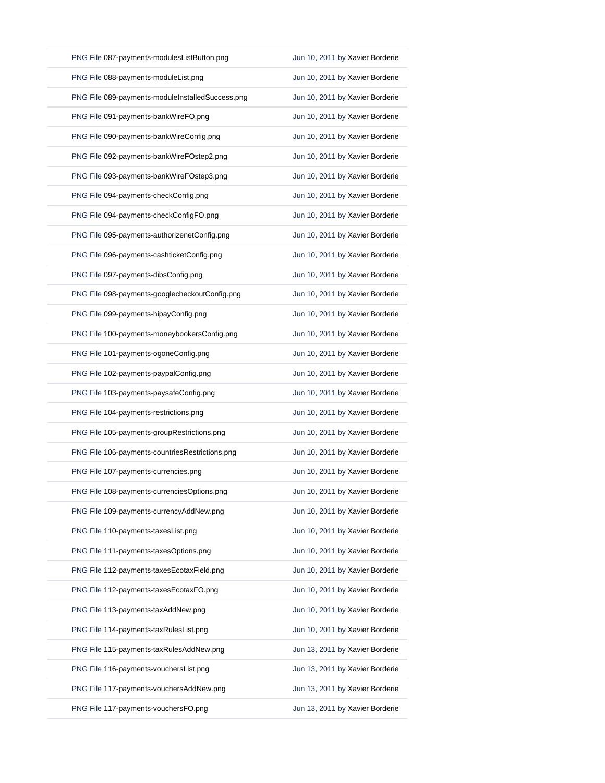| PNG File 087-payments-modulesListButton.png      | Jun 10, 2011 by Xavier Borderie |
|--------------------------------------------------|---------------------------------|
| PNG File 088-payments-moduleList.png             | Jun 10, 2011 by Xavier Borderie |
| PNG File 089-payments-moduleInstalledSuccess.png | Jun 10, 2011 by Xavier Borderie |
| PNG File 091-payments-bankWireFO.png             | Jun 10, 2011 by Xavier Borderie |
| PNG File 090-payments-bankWireConfig.png         | Jun 10, 2011 by Xavier Borderie |
| PNG File 092-payments-bankWireFOstep2.png        | Jun 10, 2011 by Xavier Borderie |
| PNG File 093-payments-bankWireFOstep3.png        | Jun 10, 2011 by Xavier Borderie |
| PNG File 094-payments-checkConfig.png            | Jun 10, 2011 by Xavier Borderie |
| PNG File 094-payments-checkConfigFO.png          | Jun 10, 2011 by Xavier Borderie |
| PNG File 095-payments-authorizenetConfig.png     | Jun 10, 2011 by Xavier Borderie |
| PNG File 096-payments-cashticketConfig.png       | Jun 10, 2011 by Xavier Borderie |
| PNG File 097-payments-dibsConfig.png             | Jun 10, 2011 by Xavier Borderie |
| PNG File 098-payments-googlecheckoutConfig.png   | Jun 10, 2011 by Xavier Borderie |
| PNG File 099-payments-hipayConfig.png            | Jun 10, 2011 by Xavier Borderie |
| PNG File 100-payments-moneybookersConfig.png     | Jun 10, 2011 by Xavier Borderie |
| PNG File 101-payments-ogoneConfig.png            | Jun 10, 2011 by Xavier Borderie |
| PNG File 102-payments-paypalConfig.png           | Jun 10, 2011 by Xavier Borderie |
| PNG File 103-payments-paysafeConfig.png          | Jun 10, 2011 by Xavier Borderie |
| PNG File 104-payments-restrictions.png           | Jun 10, 2011 by Xavier Borderie |
| PNG File 105-payments-groupRestrictions.png      | Jun 10, 2011 by Xavier Borderie |
| PNG File 106-payments-countriesRestrictions.png  | Jun 10, 2011 by Xavier Borderie |
| PNG File 107-payments-currencies.png             | Jun 10, 2011 by Xavier Borderie |
| PNG File 108-payments-currenciesOptions.png      | Jun 10, 2011 by Xavier Borderie |
| PNG File 109-payments-currencyAddNew.png         | Jun 10, 2011 by Xavier Borderie |
| PNG File 110-payments-taxesList.png              | Jun 10, 2011 by Xavier Borderie |
| PNG File 111-payments-taxesOptions.png           | Jun 10, 2011 by Xavier Borderie |
| PNG File 112-payments-taxesEcotaxField.png       | Jun 10, 2011 by Xavier Borderie |
| PNG File 112-payments-taxesEcotaxFO.png          | Jun 10, 2011 by Xavier Borderie |
| PNG File 113-payments-taxAddNew.png              | Jun 10, 2011 by Xavier Borderie |
| PNG File 114-payments-taxRulesList.png           | Jun 10, 2011 by Xavier Borderie |
| PNG File 115-payments-taxRulesAddNew.png         | Jun 13, 2011 by Xavier Borderie |
| PNG File 116-payments-vouchersList.png           | Jun 13, 2011 by Xavier Borderie |
| PNG File 117-payments-vouchersAddNew.png         | Jun 13, 2011 by Xavier Borderie |
| PNG File 117-payments-vouchersFO.png             | Jun 13, 2011 by Xavier Borderie |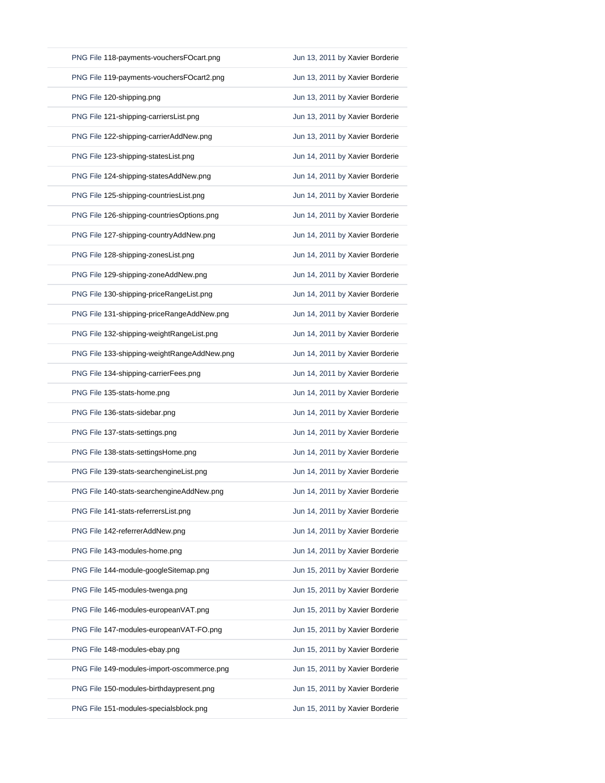| PNG File 118-payments-vouchersFOcart.png    | Jun 13, 2011 by Xavier Borderie |
|---------------------------------------------|---------------------------------|
| PNG File 119-payments-vouchersFOcart2.png   | Jun 13, 2011 by Xavier Borderie |
| PNG File 120-shipping.png                   | Jun 13, 2011 by Xavier Borderie |
| PNG File 121-shipping-carriersList.png      | Jun 13, 2011 by Xavier Borderie |
| PNG File 122-shipping-carrierAddNew.png     | Jun 13, 2011 by Xavier Borderie |
| PNG File 123-shipping-statesList.png        | Jun 14, 2011 by Xavier Borderie |
| PNG File 124-shipping-statesAddNew.png      | Jun 14, 2011 by Xavier Borderie |
| PNG File 125-shipping-countriesList.png     | Jun 14, 2011 by Xavier Borderie |
| PNG File 126-shipping-countriesOptions.png  | Jun 14, 2011 by Xavier Borderie |
| PNG File 127-shipping-countryAddNew.png     | Jun 14, 2011 by Xavier Borderie |
| PNG File 128-shipping-zonesList.png         | Jun 14, 2011 by Xavier Borderie |
| PNG File 129-shipping-zoneAddNew.png        | Jun 14, 2011 by Xavier Borderie |
| PNG File 130-shipping-priceRangeList.png    | Jun 14, 2011 by Xavier Borderie |
| PNG File 131-shipping-priceRangeAddNew.png  | Jun 14, 2011 by Xavier Borderie |
| PNG File 132-shipping-weightRangeList.png   | Jun 14, 2011 by Xavier Borderie |
| PNG File 133-shipping-weightRangeAddNew.png | Jun 14, 2011 by Xavier Borderie |
| PNG File 134-shipping-carrierFees.png       | Jun 14, 2011 by Xavier Borderie |
|                                             | Jun 14, 2011 by Xavier Borderie |
| PNG File 135-stats-home.png                 |                                 |
| PNG File 136-stats-sidebar.png              | Jun 14, 2011 by Xavier Borderie |
| PNG File 137-stats-settings.png             | Jun 14, 2011 by Xavier Borderie |
| PNG File 138-stats-settingsHome.png         | Jun 14, 2011 by Xavier Borderie |
| PNG File 139-stats-searchengineList.png     | Jun 14, 2011 by Xavier Borderie |
| PNG File 140-stats-searchengineAddNew.png   | Jun 14, 2011 by Xavier Borderie |
| PNG File 141-stats-referrersList.png        | Jun 14, 2011 by Xavier Borderie |
| PNG File 142-referrerAddNew.png             | Jun 14, 2011 by Xavier Borderie |
| PNG File 143-modules-home.png               | Jun 14, 2011 by Xavier Borderie |
| PNG File 144-module-googleSitemap.png       | Jun 15, 2011 by Xavier Borderie |
| PNG File 145-modules-twenga.png             | Jun 15, 2011 by Xavier Borderie |
| PNG File 146-modules-europeanVAT.png        | Jun 15, 2011 by Xavier Borderie |
| PNG File 147-modules-europeanVAT-FO.png     | Jun 15, 2011 by Xavier Borderie |
| PNG File 148-modules-ebay.png               | Jun 15, 2011 by Xavier Borderie |
| PNG File 149-modules-import-oscommerce.png  | Jun 15, 2011 by Xavier Borderie |
| PNG File 150-modules-birthdaypresent.png    | Jun 15, 2011 by Xavier Borderie |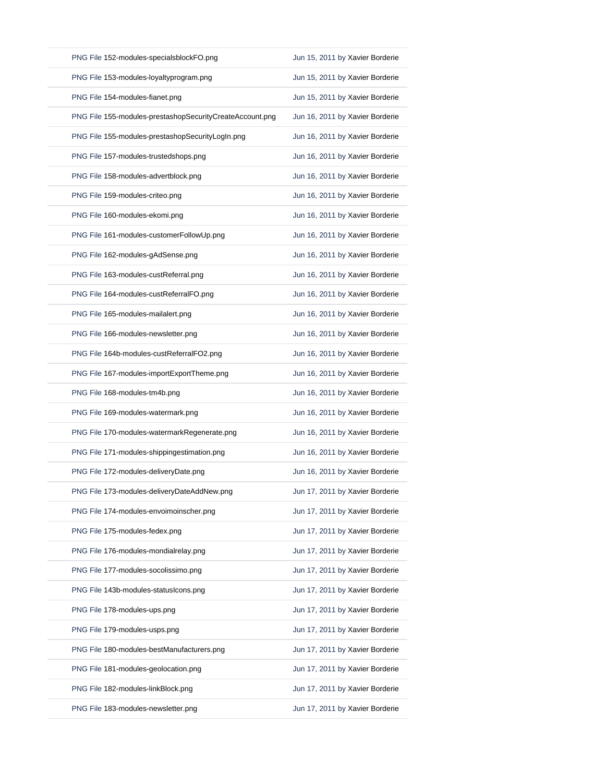| PNG File 152-modules-specialsblockFO.png                 | Jun 15, 2011 by Xavier Borderie |
|----------------------------------------------------------|---------------------------------|
| PNG File 153-modules-loyaltyprogram.png                  | Jun 15, 2011 by Xavier Borderie |
| PNG File 154-modules-fianet.png                          | Jun 15, 2011 by Xavier Borderie |
| PNG File 155-modules-prestashopSecurityCreateAccount.png | Jun 16, 2011 by Xavier Borderie |
| PNG File 155-modules-prestashopSecurityLogIn.png         | Jun 16, 2011 by Xavier Borderie |
| PNG File 157-modules-trustedshops.png                    | Jun 16, 2011 by Xavier Borderie |
| PNG File 158-modules-advertblock.png                     | Jun 16, 2011 by Xavier Borderie |
| PNG File 159-modules-criteo.png                          | Jun 16, 2011 by Xavier Borderie |
| PNG File 160-modules-ekomi.png                           | Jun 16, 2011 by Xavier Borderie |
| PNG File 161-modules-customerFollowUp.png                | Jun 16, 2011 by Xavier Borderie |
| PNG File 162-modules-gAdSense.png                        | Jun 16, 2011 by Xavier Borderie |
| PNG File 163-modules-custReferral.png                    | Jun 16, 2011 by Xavier Borderie |
| PNG File 164-modules-custReferralFO.png                  | Jun 16, 2011 by Xavier Borderie |
| PNG File 165-modules-mailalert.png                       | Jun 16, 2011 by Xavier Borderie |
| PNG File 166-modules-newsletter.png                      | Jun 16, 2011 by Xavier Borderie |
| PNG File 164b-modules-custReferralFO2.png                | Jun 16, 2011 by Xavier Borderie |
| PNG File 167-modules-importExportTheme.png               | Jun 16, 2011 by Xavier Borderie |
| PNG File 168-modules-tm4b.png                            | Jun 16, 2011 by Xavier Borderie |
| PNG File 169-modules-watermark.png                       | Jun 16, 2011 by Xavier Borderie |
| PNG File 170-modules-watermarkRegenerate.png             | Jun 16, 2011 by Xavier Borderie |
| PNG File 171-modules-shippingestimation.png              | Jun 16, 2011 by Xavier Borderie |
| PNG File 172-modules-deliveryDate.png                    | Jun 16, 2011 by Xavier Borderie |
| PNG File 173-modules-deliveryDateAddNew.png              | Jun 17, 2011 by Xavier Borderie |
| PNG File 174-modules-envoimoinscher.png                  | Jun 17, 2011 by Xavier Borderie |
| PNG File 175-modules-fedex.png                           | Jun 17, 2011 by Xavier Borderie |
| PNG File 176-modules-mondialrelay.png                    | Jun 17, 2011 by Xavier Borderie |
| PNG File 177-modules-socolissimo.png                     | Jun 17, 2011 by Xavier Borderie |
| PNG File 143b-modules-statusIcons.png                    | Jun 17, 2011 by Xavier Borderie |
| PNG File 178-modules-ups.png                             | Jun 17, 2011 by Xavier Borderie |
| PNG File 179-modules-usps.png                            | Jun 17, 2011 by Xavier Borderie |
| PNG File 180-modules-bestManufacturers.png               | Jun 17, 2011 by Xavier Borderie |
| PNG File 181-modules-geolocation.png                     | Jun 17, 2011 by Xavier Borderie |
| PNG File 182-modules-linkBlock.png                       | Jun 17, 2011 by Xavier Borderie |
| PNG File 183-modules-newsletter.png                      | Jun 17, 2011 by Xavier Borderie |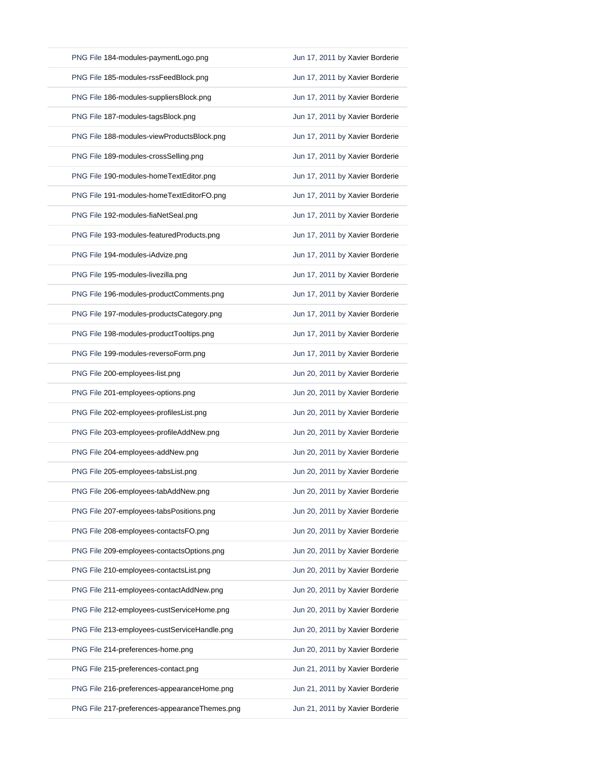| PNG File 184-modules-paymentLogo.png         | Jun 17, 2011 by Xavier Borderie |
|----------------------------------------------|---------------------------------|
| PNG File 185-modules-rssFeedBlock.png        | Jun 17, 2011 by Xavier Borderie |
| PNG File 186-modules-suppliersBlock.png      | Jun 17, 2011 by Xavier Borderie |
| PNG File 187-modules-tagsBlock.png           | Jun 17, 2011 by Xavier Borderie |
| PNG File 188-modules-viewProductsBlock.png   | Jun 17, 2011 by Xavier Borderie |
| PNG File 189-modules-crossSelling.png        | Jun 17, 2011 by Xavier Borderie |
| PNG File 190-modules-homeTextEditor.png      | Jun 17, 2011 by Xavier Borderie |
| PNG File 191-modules-homeTextEditorFO.png    | Jun 17, 2011 by Xavier Borderie |
| PNG File 192-modules-fiaNetSeal.png          | Jun 17, 2011 by Xavier Borderie |
| PNG File 193-modules-featuredProducts.png    | Jun 17, 2011 by Xavier Borderie |
| PNG File 194-modules-iAdvize.png             | Jun 17, 2011 by Xavier Borderie |
| PNG File 195-modules-livezilla.png           | Jun 17, 2011 by Xavier Borderie |
| PNG File 196-modules-productComments.png     | Jun 17, 2011 by Xavier Borderie |
| PNG File 197-modules-productsCategory.png    | Jun 17, 2011 by Xavier Borderie |
| PNG File 198-modules-productTooltips.png     | Jun 17, 2011 by Xavier Borderie |
| PNG File 199-modules-reversoForm.png         | Jun 17, 2011 by Xavier Borderie |
| PNG File 200-employees-list.png              | Jun 20, 2011 by Xavier Borderie |
| PNG File 201-employees-options.png           | Jun 20, 2011 by Xavier Borderie |
| PNG File 202-employees-profilesList.png      | Jun 20, 2011 by Xavier Borderie |
| PNG File 203-employees-profileAddNew.png     | Jun 20, 2011 by Xavier Borderie |
| PNG File 204-employees-addNew.png            | Jun 20, 2011 by Xavier Borderie |
| PNG File 205-employees-tabsList.png          | Jun 20, 2011 by Xavier Borderie |
| PNG File 206-employees-tabAddNew.png         | Jun 20, 2011 by Xavier Borderie |
| PNG File 207-employees-tabsPositions.png     | Jun 20, 2011 by Xavier Borderie |
| PNG File 208-employees-contactsFO.png        | Jun 20, 2011 by Xavier Borderie |
| PNG File 209-employees-contactsOptions.png   | Jun 20, 2011 by Xavier Borderie |
| PNG File 210-employees-contactsList.png      | Jun 20, 2011 by Xavier Borderie |
| PNG File 211-employees-contactAddNew.png     | Jun 20, 2011 by Xavier Borderie |
| PNG File 212-employees-custServiceHome.png   | Jun 20, 2011 by Xavier Borderie |
| PNG File 213-employees-custServiceHandle.png | Jun 20, 2011 by Xavier Borderie |
| PNG File 214-preferences-home.png            | Jun 20, 2011 by Xavier Borderie |
|                                              |                                 |
| PNG File 215-preferences-contact.png         | Jun 21, 2011 by Xavier Borderie |
| PNG File 216-preferences-appearanceHome.png  | Jun 21, 2011 by Xavier Borderie |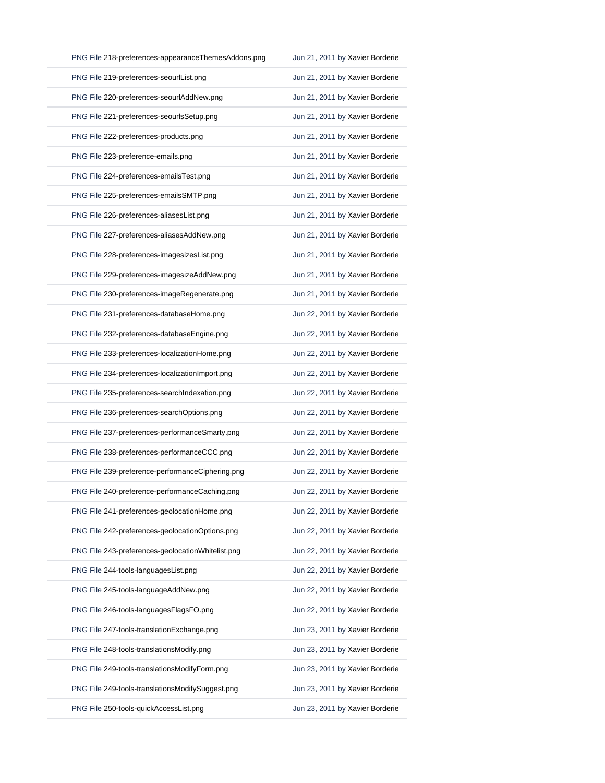| PNG File 218-preferences-appearanceThemesAddons.png | Jun 21, 2011 by Xavier Borderie |
|-----------------------------------------------------|---------------------------------|
| PNG File 219-preferences-seourlList.png             | Jun 21, 2011 by Xavier Borderie |
| PNG File 220-preferences-seourlAddNew.png           | Jun 21, 2011 by Xavier Borderie |
| PNG File 221-preferences-seourlsSetup.png           | Jun 21, 2011 by Xavier Borderie |
| PNG File 222-preferences-products.png               | Jun 21, 2011 by Xavier Borderie |
| PNG File 223-preference-emails.png                  | Jun 21, 2011 by Xavier Borderie |
| PNG File 224-preferences-emailsTest.png             | Jun 21, 2011 by Xavier Borderie |
| PNG File 225-preferences-emailsSMTP.png             | Jun 21, 2011 by Xavier Borderie |
| PNG File 226-preferences-aliasesList.png            | Jun 21, 2011 by Xavier Borderie |
| PNG File 227-preferences-aliasesAddNew.png          | Jun 21, 2011 by Xavier Borderie |
| PNG File 228-preferences-imagesizesList.png         | Jun 21, 2011 by Xavier Borderie |
| PNG File 229-preferences-imagesizeAddNew.png        | Jun 21, 2011 by Xavier Borderie |
| PNG File 230-preferences-imageRegenerate.png        | Jun 21, 2011 by Xavier Borderie |
| PNG File 231-preferences-databaseHome.png           | Jun 22, 2011 by Xavier Borderie |
| PNG File 232-preferences-databaseEngine.png         | Jun 22, 2011 by Xavier Borderie |
| PNG File 233-preferences-localizationHome.png       | Jun 22, 2011 by Xavier Borderie |
| PNG File 234-preferences-localizationImport.png     | Jun 22, 2011 by Xavier Borderie |
| PNG File 235-preferences-searchIndexation.png       | Jun 22, 2011 by Xavier Borderie |
| PNG File 236-preferences-searchOptions.png          | Jun 22, 2011 by Xavier Borderie |
| PNG File 237-preferences-performanceSmarty.png      | Jun 22, 2011 by Xavier Borderie |
| PNG File 238-preferences-performanceCCC.png         | Jun 22, 2011 by Xavier Borderie |
| PNG File 239-preference-performanceCiphering.png    | Jun 22, 2011 by Xavier Borderie |
| PNG File 240-preference-performanceCaching.png      | Jun 22, 2011 by Xavier Borderie |
| PNG File 241-preferences-geolocationHome.png        | Jun 22, 2011 by Xavier Borderie |
| PNG File 242-preferences-geolocationOptions.png     | Jun 22, 2011 by Xavier Borderie |
| PNG File 243-preferences-geolocationWhitelist.png   | Jun 22, 2011 by Xavier Borderie |
| PNG File 244-tools-languagesList.png                | Jun 22, 2011 by Xavier Borderie |
| PNG File 245-tools-languageAddNew.png               | Jun 22, 2011 by Xavier Borderie |
| PNG File 246-tools-languagesFlagsFO.png             | Jun 22, 2011 by Xavier Borderie |
| PNG File 247-tools-translationExchange.png          | Jun 23, 2011 by Xavier Borderie |
| PNG File 248-tools-translationsModify.png           | Jun 23, 2011 by Xavier Borderie |
| PNG File 249-tools-translationsModifyForm.png       | Jun 23, 2011 by Xavier Borderie |
| PNG File 249-tools-translationsModifySuggest.png    | Jun 23, 2011 by Xavier Borderie |
| PNG File 250-tools-quickAccessList.png              | Jun 23, 2011 by Xavier Borderie |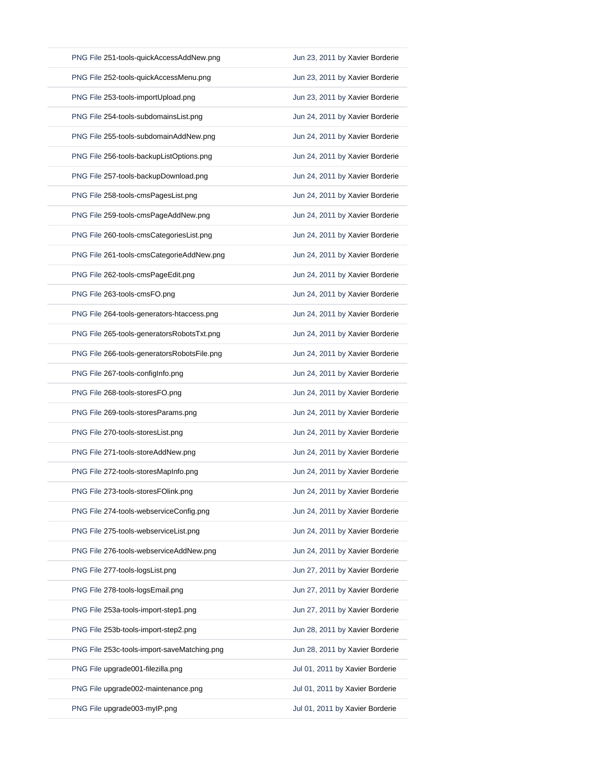| PNG File 251-tools-quickAccessAddNew.png    | Jun 23, 2011 by Xavier Borderie |
|---------------------------------------------|---------------------------------|
| PNG File 252-tools-quickAccessMenu.png      | Jun 23, 2011 by Xavier Borderie |
| PNG File 253-tools-importUpload.png         | Jun 23, 2011 by Xavier Borderie |
| PNG File 254-tools-subdomainsList.png       | Jun 24, 2011 by Xavier Borderie |
| PNG File 255-tools-subdomainAddNew.png      | Jun 24, 2011 by Xavier Borderie |
| PNG File 256-tools-backupListOptions.png    | Jun 24, 2011 by Xavier Borderie |
| PNG File 257-tools-backupDownload.png       | Jun 24, 2011 by Xavier Borderie |
| PNG File 258-tools-cmsPagesList.png         | Jun 24, 2011 by Xavier Borderie |
| PNG File 259-tools-cmsPageAddNew.png        | Jun 24, 2011 by Xavier Borderie |
| PNG File 260-tools-cmsCategoriesList.png    | Jun 24, 2011 by Xavier Borderie |
| PNG File 261-tools-cmsCategorieAddNew.png   | Jun 24, 2011 by Xavier Borderie |
| PNG File 262-tools-cmsPageEdit.png          | Jun 24, 2011 by Xavier Borderie |
| PNG File 263-tools-cmsFO.png                | Jun 24, 2011 by Xavier Borderie |
| PNG File 264-tools-generators-htaccess.png  | Jun 24, 2011 by Xavier Borderie |
| PNG File 265-tools-generatorsRobotsTxt.png  | Jun 24, 2011 by Xavier Borderie |
| PNG File 266-tools-generatorsRobotsFile.png | Jun 24, 2011 by Xavier Borderie |
| PNG File 267-tools-configInfo.png           | Jun 24, 2011 by Xavier Borderie |
| PNG File 268-tools-storesFO.png             | Jun 24, 2011 by Xavier Borderie |
| PNG File 269-tools-storesParams.png         | Jun 24, 2011 by Xavier Borderie |
| PNG File 270-tools-storesList.png           | Jun 24, 2011 by Xavier Borderie |
| PNG File 271-tools-storeAddNew.png          | Jun 24, 2011 by Xavier Borderie |
| PNG File 272-tools-storesMapInfo.png        | Jun 24, 2011 by Xavier Borderie |
| PNG File 273-tools-storesFOlink.png         | Jun 24, 2011 by Xavier Borderie |
|                                             |                                 |
| PNG File 274-tools-webserviceConfig.png     | Jun 24, 2011 by Xavier Borderie |
| PNG File 275-tools-webserviceList.png       | Jun 24, 2011 by Xavier Borderie |
| PNG File 276-tools-webserviceAddNew.png     | Jun 24, 2011 by Xavier Borderie |
| PNG File 277-tools-logsList.png             | Jun 27, 2011 by Xavier Borderie |
| PNG File 278-tools-logsEmail.png            | Jun 27, 2011 by Xavier Borderie |
| PNG File 253a-tools-import-step1.png        | Jun 27, 2011 by Xavier Borderie |
| PNG File 253b-tools-import-step2.png        | Jun 28, 2011 by Xavier Borderie |
| PNG File 253c-tools-import-saveMatching.png | Jun 28, 2011 by Xavier Borderie |
| PNG File upgrade001-filezilla.png           | Jul 01, 2011 by Xavier Borderie |
| PNG File upgrade002-maintenance.png         | Jul 01, 2011 by Xavier Borderie |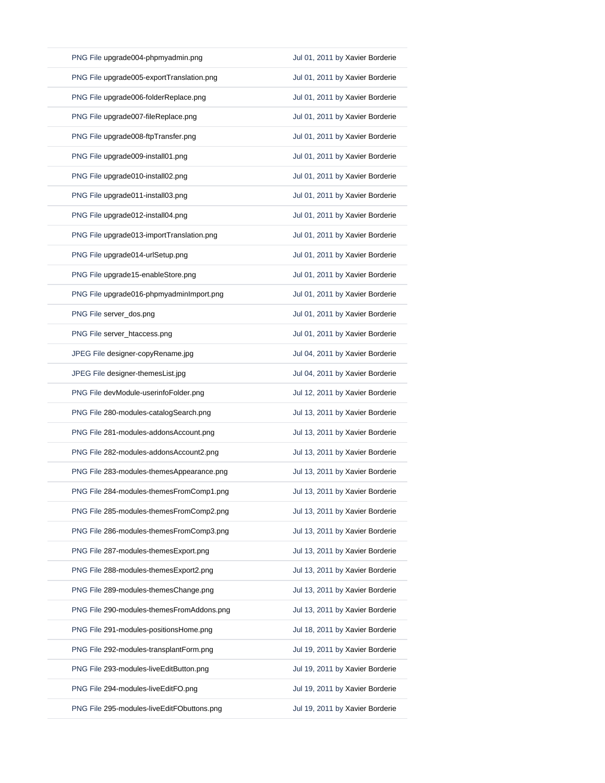| PNG File upgrade004-phpmyadmin.png         | Jul 01, 2011 by Xavier Borderie |
|--------------------------------------------|---------------------------------|
| PNG File upgrade005-exportTranslation.png  | Jul 01, 2011 by Xavier Borderie |
| PNG File upgrade006-folderReplace.png      | Jul 01, 2011 by Xavier Borderie |
| PNG File upgrade007-fileReplace.png        | Jul 01, 2011 by Xavier Borderie |
| PNG File upgrade008-ftpTransfer.png        | Jul 01, 2011 by Xavier Borderie |
| PNG File upgrade009-install01.png          | Jul 01, 2011 by Xavier Borderie |
| PNG File upgrade010-install02.png          | Jul 01, 2011 by Xavier Borderie |
| PNG File upgrade011-install03.png          | Jul 01, 2011 by Xavier Borderie |
| PNG File upgrade012-install04.png          | Jul 01, 2011 by Xavier Borderie |
| PNG File upgrade013-importTranslation.png  | Jul 01, 2011 by Xavier Borderie |
| PNG File upgrade014-urlSetup.png           | Jul 01, 2011 by Xavier Borderie |
| PNG File upgrade15-enableStore.png         | Jul 01, 2011 by Xavier Borderie |
| PNG File upgrade016-phpmyadminImport.png   | Jul 01, 2011 by Xavier Borderie |
| PNG File server_dos.png                    | Jul 01, 2011 by Xavier Borderie |
| PNG File server_htaccess.png               | Jul 01, 2011 by Xavier Borderie |
| JPEG File designer-copyRename.jpg          | Jul 04, 2011 by Xavier Borderie |
| JPEG File designer-themesList.jpg          | Jul 04, 2011 by Xavier Borderie |
| PNG File devModule-userinfoFolder.png      | Jul 12, 2011 by Xavier Borderie |
| PNG File 280-modules-catalogSearch.png     | Jul 13, 2011 by Xavier Borderie |
| PNG File 281-modules-addonsAccount.png     | Jul 13, 2011 by Xavier Borderie |
| PNG File 282-modules-addonsAccount2.png    | Jul 13, 2011 by Xavier Borderie |
| PNG File 283-modules-themesAppearance.png  | Jul 13, 2011 by Xavier Borderie |
| PNG File 284-modules-themesFromComp1.png   | Jul 13, 2011 by Xavier Borderie |
| PNG File 285-modules-themesFromComp2.png   | Jul 13, 2011 by Xavier Borderie |
| PNG File 286-modules-themesFromComp3.png   | Jul 13, 2011 by Xavier Borderie |
| PNG File 287-modules-themesExport.png      | Jul 13, 2011 by Xavier Borderie |
| PNG File 288-modules-themesExport2.png     | Jul 13, 2011 by Xavier Borderie |
| PNG File 289-modules-themesChange.png      | Jul 13, 2011 by Xavier Borderie |
| PNG File 290-modules-themesFromAddons.png  | Jul 13, 2011 by Xavier Borderie |
| PNG File 291-modules-positionsHome.png     | Jul 18, 2011 by Xavier Borderie |
| PNG File 292-modules-transplantForm.png    | Jul 19, 2011 by Xavier Borderie |
| PNG File 293-modules-liveEditButton.png    | Jul 19, 2011 by Xavier Borderie |
| PNG File 294-modules-liveEditFO.png        | Jul 19, 2011 by Xavier Borderie |
| PNG File 295-modules-liveEditFObuttons.png | Jul 19, 2011 by Xavier Borderie |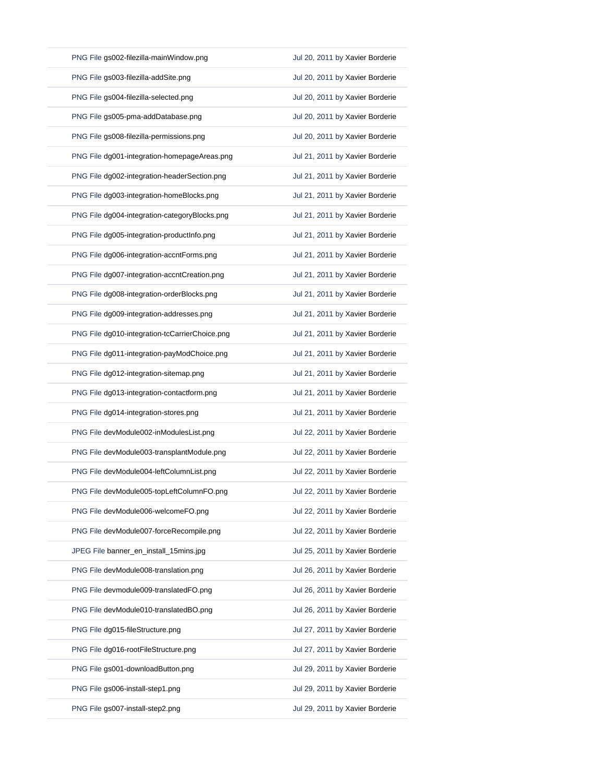| PNG File gs002-filezilla-mainWindow.png        | Jul 20, 2011 by Xavier Borderie |
|------------------------------------------------|---------------------------------|
| PNG File gs003-filezilla-addSite.png           | Jul 20, 2011 by Xavier Borderie |
| PNG File gs004-filezilla-selected.png          | Jul 20, 2011 by Xavier Borderie |
| PNG File gs005-pma-addDatabase.png             | Jul 20, 2011 by Xavier Borderie |
| PNG File gs008-filezilla-permissions.png       | Jul 20, 2011 by Xavier Borderie |
| PNG File dg001-integration-homepageAreas.png   | Jul 21, 2011 by Xavier Borderie |
| PNG File dg002-integration-headerSection.png   | Jul 21, 2011 by Xavier Borderie |
| PNG File dg003-integration-homeBlocks.png      | Jul 21, 2011 by Xavier Borderie |
| PNG File dg004-integration-categoryBlocks.png  | Jul 21, 2011 by Xavier Borderie |
| PNG File dg005-integration-productInfo.png     | Jul 21, 2011 by Xavier Borderie |
| PNG File dg006-integration-accntForms.png      | Jul 21, 2011 by Xavier Borderie |
| PNG File dg007-integration-accntCreation.png   | Jul 21, 2011 by Xavier Borderie |
| PNG File dg008-integration-orderBlocks.png     | Jul 21, 2011 by Xavier Borderie |
| PNG File dg009-integration-addresses.png       | Jul 21, 2011 by Xavier Borderie |
| PNG File dg010-integration-tcCarrierChoice.png | Jul 21, 2011 by Xavier Borderie |
| PNG File dg011-integration-payModChoice.png    | Jul 21, 2011 by Xavier Borderie |
| PNG File dg012-integration-sitemap.png         | Jul 21, 2011 by Xavier Borderie |
| PNG File dg013-integration-contactform.png     | Jul 21, 2011 by Xavier Borderie |
| PNG File dg014-integration-stores.png          | Jul 21, 2011 by Xavier Borderie |
| PNG File devModule002-inModulesList.png        | Jul 22, 2011 by Xavier Borderie |
| PNG File devModule003-transplantModule.png     | Jul 22, 2011 by Xavier Borderie |
| PNG File devModule004-leftColumnList.png       | Jul 22, 2011 by Xavier Borderie |
| PNG File devModule005-topLeftColumnFO.png      | Jul 22, 2011 by Xavier Borderie |
|                                                |                                 |
| PNG File devModule006-welcomeFO.png            | Jul 22, 2011 by Xavier Borderie |
| PNG File devModule007-forceRecompile.png       | Jul 22, 2011 by Xavier Borderie |
| JPEG File banner_en_install_15mins.jpg         | Jul 25, 2011 by Xavier Borderie |
| PNG File devModule008-translation.png          | Jul 26, 2011 by Xavier Borderie |
| PNG File devmodule009-translatedFO.png         | Jul 26, 2011 by Xavier Borderie |
| PNG File devModule010-translatedBO.png         | Jul 26, 2011 by Xavier Borderie |
| PNG File dg015-fileStructure.png               | Jul 27, 2011 by Xavier Borderie |
| PNG File dg016-rootFileStructure.png           | Jul 27, 2011 by Xavier Borderie |
| PNG File gs001-downloadButton.png              | Jul 29, 2011 by Xavier Borderie |
| PNG File gs006-install-step1.png               | Jul 29, 2011 by Xavier Borderie |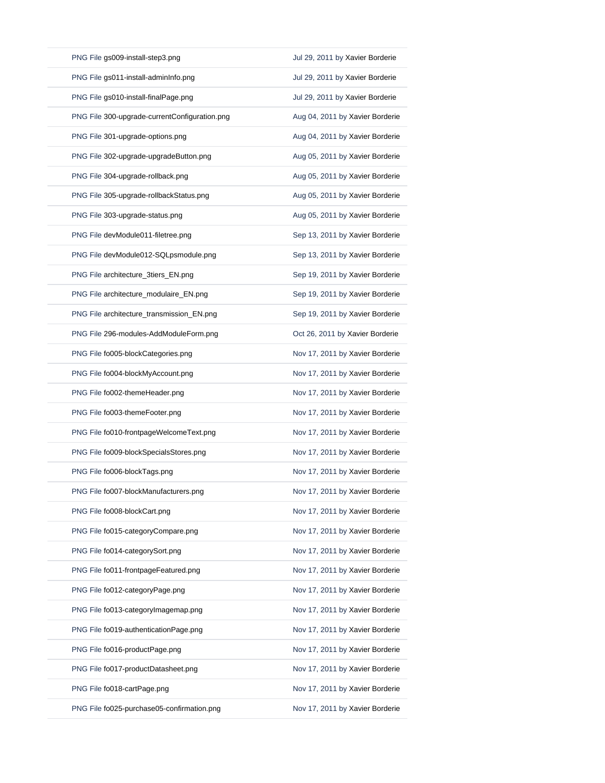| PNG File gs009-install-step3.png              | Jul 29, 2011 by Xavier Borderie |
|-----------------------------------------------|---------------------------------|
| PNG File gs011-install-adminInfo.png          | Jul 29, 2011 by Xavier Borderie |
| PNG File gs010-install-finalPage.png          | Jul 29, 2011 by Xavier Borderie |
| PNG File 300-upgrade-currentConfiguration.png | Aug 04, 2011 by Xavier Borderie |
| PNG File 301-upgrade-options.png              | Aug 04, 2011 by Xavier Borderie |
| PNG File 302-upgrade-upgradeButton.png        | Aug 05, 2011 by Xavier Borderie |
| PNG File 304-upgrade-rollback.png             | Aug 05, 2011 by Xavier Borderie |
| PNG File 305-upgrade-rollbackStatus.png       | Aug 05, 2011 by Xavier Borderie |
| PNG File 303-upgrade-status.png               | Aug 05, 2011 by Xavier Borderie |
| PNG File devModule011-filetree.png            | Sep 13, 2011 by Xavier Borderie |
| PNG File devModule012-SQLpsmodule.png         | Sep 13, 2011 by Xavier Borderie |
| PNG File architecture_3tiers_EN.png           | Sep 19, 2011 by Xavier Borderie |
| PNG File architecture_modulaire_EN.png        | Sep 19, 2011 by Xavier Borderie |
| PNG File architecture_transmission_EN.png     | Sep 19, 2011 by Xavier Borderie |
| PNG File 296-modules-AddModuleForm.png        | Oct 26, 2011 by Xavier Borderie |
| PNG File fo005-blockCategories.png            | Nov 17, 2011 by Xavier Borderie |
| PNG File fo004-blockMyAccount.png             | Nov 17, 2011 by Xavier Borderie |
|                                               |                                 |
| PNG File fo002-themeHeader.png                | Nov 17, 2011 by Xavier Borderie |
| PNG File fo003-themeFooter.png                | Nov 17, 2011 by Xavier Borderie |
| PNG File fo010-frontpageWelcomeText.png       | Nov 17, 2011 by Xavier Borderie |
| PNG File fo009-blockSpecialsStores.png        | Nov 17, 2011 by Xavier Borderie |
| PNG File fo006-blockTags.png                  | Nov 17, 2011 by Xavier Borderie |
| PNG File fo007-blockManufacturers.png         | Nov 17, 2011 by Xavier Borderie |
| PNG File fo008-blockCart.png                  | Nov 17, 2011 by Xavier Borderie |
| PNG File fo015-categoryCompare.png            | Nov 17, 2011 by Xavier Borderie |
| PNG File fo014-categorySort.png               | Nov 17, 2011 by Xavier Borderie |
| PNG File fo011-frontpageFeatured.png          | Nov 17, 2011 by Xavier Borderie |
| PNG File fo012-categoryPage.png               | Nov 17, 2011 by Xavier Borderie |
| PNG File fo013-categoryImagemap.png           | Nov 17, 2011 by Xavier Borderie |
| PNG File fo019-authenticationPage.png         | Nov 17, 2011 by Xavier Borderie |
| PNG File fo016-productPage.png                | Nov 17, 2011 by Xavier Borderie |
| PNG File fo017-productDatasheet.png           | Nov 17, 2011 by Xavier Borderie |
| PNG File fo018-cartPage.png                   | Nov 17, 2011 by Xavier Borderie |